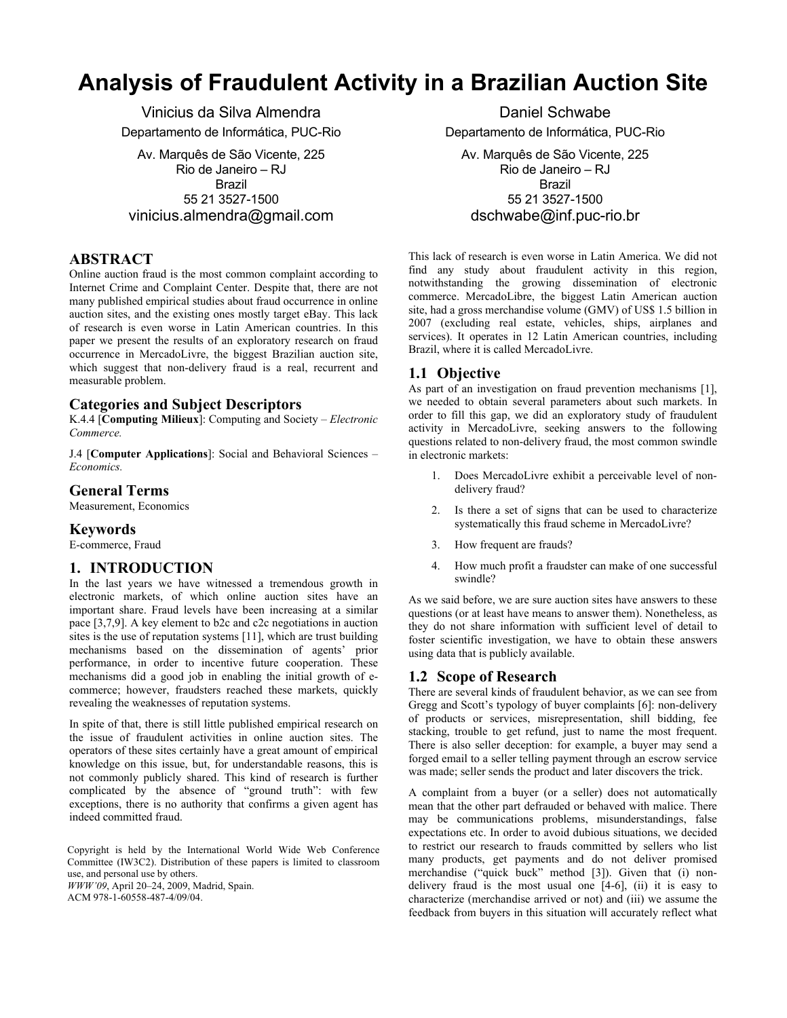# **Analysis of Fraudulent Activity in a Brazilian Auction Site**

Vinicius da Silva Almendra Departamento de Informática, PUC-Rio

Av. Marquês de São Vicente, 225 Rio de Janeiro – RJ Brazil 55 21 3527-1500 vinicius.almendra@gmail.com

# **ABSTRACT**

Online auction fraud is the most common complaint according to Internet Crime and Complaint Center. Despite that, there are not many published empirical studies about fraud occurrence in online auction sites, and the existing ones mostly target eBay. This lack of research is even worse in Latin American countries. In this paper we present the results of an exploratory research on fraud occurrence in MercadoLivre, the biggest Brazilian auction site, which suggest that non-delivery fraud is a real, recurrent and measurable problem.

# **Categories and Subject Descriptors**

K.4.4 [**Computing Milieux**]: Computing and Society – *Electronic Commerce.* 

J.4 [**Computer Applications**]: Social and Behavioral Sciences – *Economics.* 

## **General Terms**

Measurement, Economics

### **Keywords**

E-commerce, Fraud

### **1. INTRODUCTION**

In the last years we have witnessed a tremendous growth in electronic markets, of which online auction sites have an important share. Fraud levels have been increasing at a similar pace [3,7,9]. A key element to b2c and c2c negotiations in auction sites is the use of reputation systems [11], which are trust building mechanisms based on the dissemination of agents' prior performance, in order to incentive future cooperation. These mechanisms did a good job in enabling the initial growth of ecommerce; however, fraudsters reached these markets, quickly revealing the weaknesses of reputation systems.

In spite of that, there is still little published empirical research on the issue of fraudulent activities in online auction sites. The operators of these sites certainly have a great amount of empirical knowledge on this issue, but, for understandable reasons, this is not commonly publicly shared. This kind of research is further complicated by the absence of "ground truth": with few exceptions, there is no authority that confirms a given agent has indeed committed fraud.

Copyright is held by the International World Wide Web Conference Committee (IW3C2). Distribution of these papers is limited to classroom use, and personal use by others. *WWW'09*, April 20–24, 2009, Madrid, Spain.

ACM 978-1-60558-487-4/09/04.

Daniel Schwabe Departamento de Informática, PUC-Rio

Av. Marquês de São Vicente, 225 Rio de Janeiro – RJ Brazil 55 21 3527-1500 dschwabe@inf.puc-rio.br

This lack of research is even worse in Latin America. We did not find any study about fraudulent activity in this region, notwithstanding the growing dissemination of electronic commerce. MercadoLibre, the biggest Latin American auction site, had a gross merchandise volume (GMV) of US\$ 1.5 billion in 2007 (excluding real estate, vehicles, ships, airplanes and services). It operates in 12 Latin American countries, including Brazil, where it is called MercadoLivre.

# **1.1 Objective**

As part of an investigation on fraud prevention mechanisms [1], we needed to obtain several parameters about such markets. In order to fill this gap, we did an exploratory study of fraudulent activity in MercadoLivre, seeking answers to the following questions related to non-delivery fraud, the most common swindle in electronic markets:

- 1. Does MercadoLivre exhibit a perceivable level of nondelivery fraud?
- 2. Is there a set of signs that can be used to characterize systematically this fraud scheme in MercadoLivre?
- 3. How frequent are frauds?
- 4. How much profit a fraudster can make of one successful swindle?

As we said before, we are sure auction sites have answers to these questions (or at least have means to answer them). Nonetheless, as they do not share information with sufficient level of detail to foster scientific investigation, we have to obtain these answers using data that is publicly available.

### **1.2 Scope of Research**

There are several kinds of fraudulent behavior, as we can see from Gregg and Scott's typology of buyer complaints [6]: non-delivery of products or services, misrepresentation, shill bidding, fee stacking, trouble to get refund, just to name the most frequent. There is also seller deception: for example, a buyer may send a forged email to a seller telling payment through an escrow service was made; seller sends the product and later discovers the trick.

A complaint from a buyer (or a seller) does not automatically mean that the other part defrauded or behaved with malice. There may be communications problems, misunderstandings, false expectations etc. In order to avoid dubious situations, we decided to restrict our research to frauds committed by sellers who list many products, get payments and do not deliver promised merchandise ("quick buck" method [3]). Given that (i) nondelivery fraud is the most usual one [4-6], (ii) it is easy to characterize (merchandise arrived or not) and (iii) we assume the feedback from buyers in this situation will accurately reflect what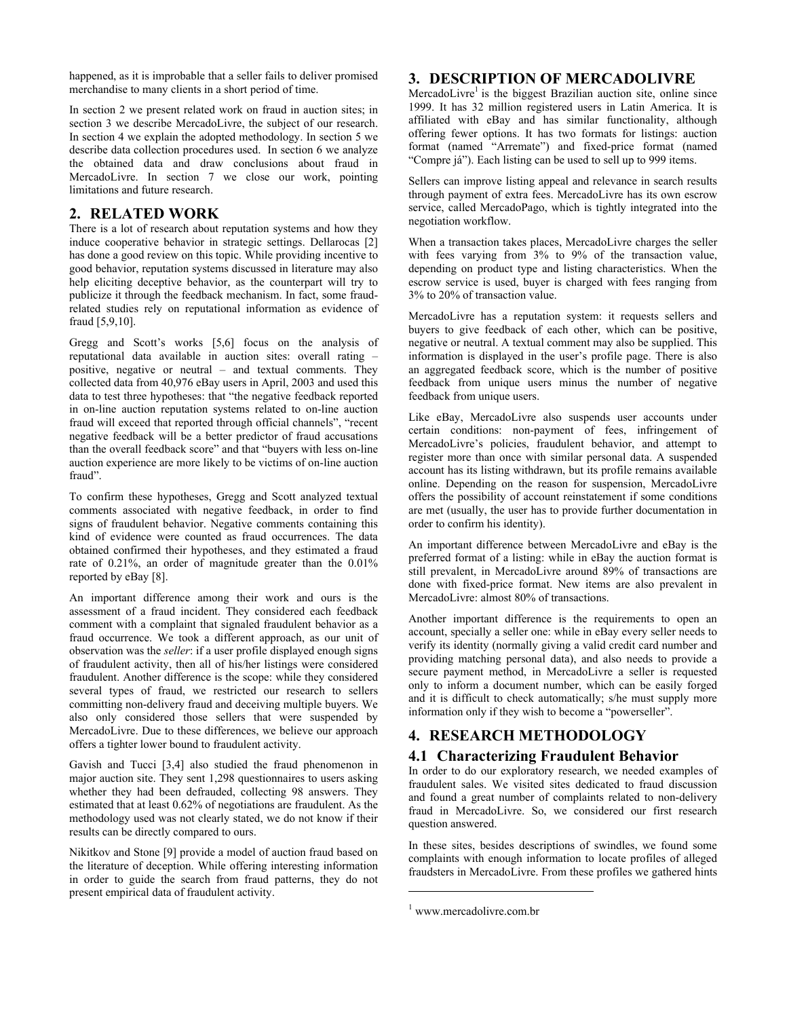happened, as it is improbable that a seller fails to deliver promised merchandise to many clients in a short period of time.

In section 2 we present related work on fraud in auction sites; in section 3 we describe MercadoLivre, the subject of our research. In section 4 we explain the adopted methodology. In section 5 we describe data collection procedures used. In section 6 we analyze the obtained data and draw conclusions about fraud in MercadoLivre. In section 7 we close our work, pointing limitations and future research.

# **2. RELATED WORK**

There is a lot of research about reputation systems and how they induce cooperative behavior in strategic settings. Dellarocas [2] has done a good review on this topic. While providing incentive to good behavior, reputation systems discussed in literature may also help eliciting deceptive behavior, as the counterpart will try to publicize it through the feedback mechanism. In fact, some fraudrelated studies rely on reputational information as evidence of fraud [5,9,10].

Gregg and Scott's works [5,6] focus on the analysis of reputational data available in auction sites: overall rating – positive, negative or neutral – and textual comments. They collected data from 40,976 eBay users in April, 2003 and used this data to test three hypotheses: that "the negative feedback reported in on-line auction reputation systems related to on-line auction fraud will exceed that reported through official channels", "recent negative feedback will be a better predictor of fraud accusations than the overall feedback score" and that "buyers with less on-line auction experience are more likely to be victims of on-line auction fraud".

To confirm these hypotheses, Gregg and Scott analyzed textual comments associated with negative feedback, in order to find signs of fraudulent behavior. Negative comments containing this kind of evidence were counted as fraud occurrences. The data obtained confirmed their hypotheses, and they estimated a fraud rate of 0.21%, an order of magnitude greater than the  $0.01\%$ reported by eBay [8].

An important difference among their work and ours is the assessment of a fraud incident. They considered each feedback comment with a complaint that signaled fraudulent behavior as a fraud occurrence. We took a different approach, as our unit of observation was the *seller*: if a user profile displayed enough signs of fraudulent activity, then all of his/her listings were considered fraudulent. Another difference is the scope: while they considered several types of fraud, we restricted our research to sellers committing non-delivery fraud and deceiving multiple buyers. We also only considered those sellers that were suspended by MercadoLivre. Due to these differences, we believe our approach offers a tighter lower bound to fraudulent activity.

Gavish and Tucci [3,4] also studied the fraud phenomenon in major auction site. They sent 1,298 questionnaires to users asking whether they had been defrauded, collecting 98 answers. They estimated that at least 0.62% of negotiations are fraudulent. As the methodology used was not clearly stated, we do not know if their results can be directly compared to ours.

Nikitkov and Stone [9] provide a model of auction fraud based on the literature of deception. While offering interesting information in order to guide the search from fraud patterns, they do not present empirical data of fraudulent activity.

# **3. DESCRIPTION OF MERCADOLIVRE**

MercadoLivre<sup>1</sup> is the biggest Brazilian auction site, online since 1999. It has 32 million registered users in Latin America. It is affiliated with eBay and has similar functionality, although offering fewer options. It has two formats for listings: auction format (named "Arremate") and fixed-price format (named "Compre já"). Each listing can be used to sell up to 999 items.

Sellers can improve listing appeal and relevance in search results through payment of extra fees. MercadoLivre has its own escrow service, called MercadoPago, which is tightly integrated into the negotiation workflow.

When a transaction takes places, MercadoLivre charges the seller with fees varying from 3% to 9% of the transaction value, depending on product type and listing characteristics. When the escrow service is used, buyer is charged with fees ranging from 3% to 20% of transaction value.

MercadoLivre has a reputation system: it requests sellers and buyers to give feedback of each other, which can be positive, negative or neutral. A textual comment may also be supplied. This information is displayed in the user's profile page. There is also an aggregated feedback score, which is the number of positive feedback from unique users minus the number of negative feedback from unique users.

Like eBay, MercadoLivre also suspends user accounts under certain conditions: non-payment of fees, infringement of MercadoLivre's policies, fraudulent behavior, and attempt to register more than once with similar personal data. A suspended account has its listing withdrawn, but its profile remains available online. Depending on the reason for suspension, MercadoLivre offers the possibility of account reinstatement if some conditions are met (usually, the user has to provide further documentation in order to confirm his identity).

An important difference between MercadoLivre and eBay is the preferred format of a listing: while in eBay the auction format is still prevalent, in MercadoLivre around 89% of transactions are done with fixed-price format. New items are also prevalent in MercadoLivre: almost 80% of transactions.

Another important difference is the requirements to open an account, specially a seller one: while in eBay every seller needs to verify its identity (normally giving a valid credit card number and providing matching personal data), and also needs to provide a secure payment method, in MercadoLivre a seller is requested only to inform a document number, which can be easily forged and it is difficult to check automatically; s/he must supply more information only if they wish to become a "powerseller".

# **4. RESEARCH METHODOLOGY**

# **4.1 Characterizing Fraudulent Behavior**

In order to do our exploratory research, we needed examples of fraudulent sales. We visited sites dedicated to fraud discussion and found a great number of complaints related to non-delivery fraud in MercadoLivre. So, we considered our first research question answered.

In these sites, besides descriptions of swindles, we found some complaints with enough information to locate profiles of alleged fraudsters in MercadoLivre. From these profiles we gathered hints

1

<sup>1</sup> www.mercadolivre.com.br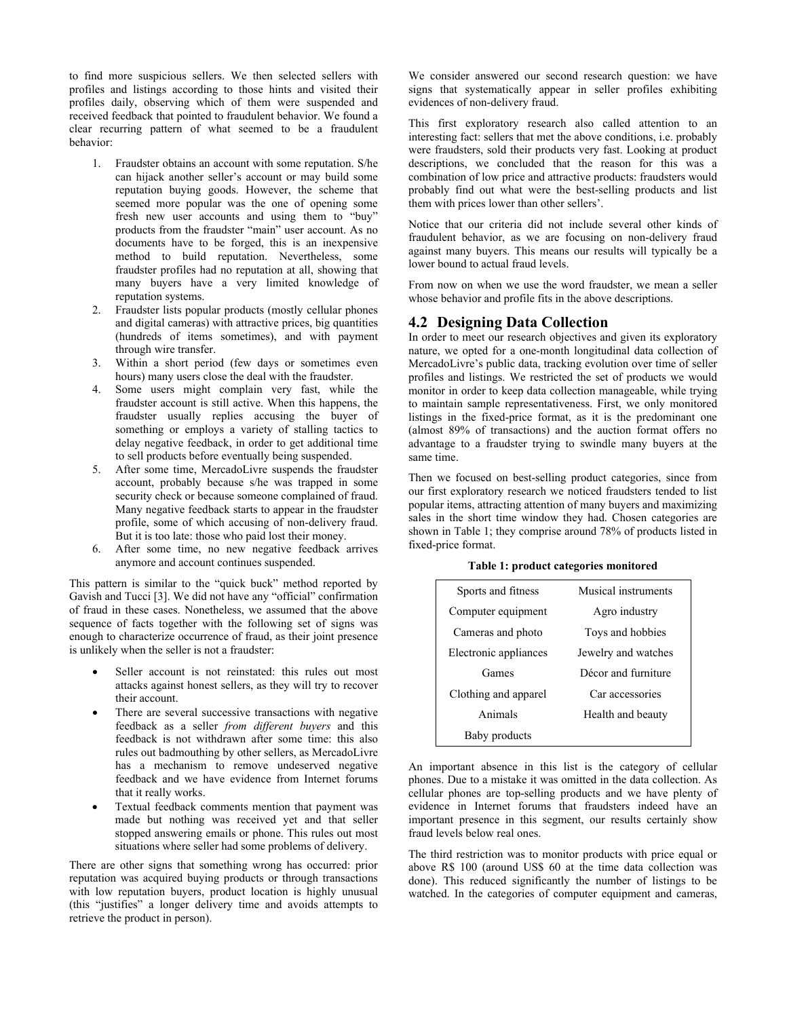to find more suspicious sellers. We then selected sellers with profiles and listings according to those hints and visited their profiles daily, observing which of them were suspended and received feedback that pointed to fraudulent behavior. We found a clear recurring pattern of what seemed to be a fraudulent behavior:

- 1. Fraudster obtains an account with some reputation. S/he can hijack another seller's account or may build some reputation buying goods. However, the scheme that seemed more popular was the one of opening some fresh new user accounts and using them to "buy" products from the fraudster "main" user account. As no documents have to be forged, this is an inexpensive method to build reputation. Nevertheless, some fraudster profiles had no reputation at all, showing that many buyers have a very limited knowledge of reputation systems.
- 2. Fraudster lists popular products (mostly cellular phones and digital cameras) with attractive prices, big quantities (hundreds of items sometimes), and with payment through wire transfer.
- 3. Within a short period (few days or sometimes even hours) many users close the deal with the fraudster.
- 4. Some users might complain very fast, while the fraudster account is still active. When this happens, the fraudster usually replies accusing the buyer of something or employs a variety of stalling tactics to delay negative feedback, in order to get additional time to sell products before eventually being suspended.
- 5. After some time, MercadoLivre suspends the fraudster account, probably because s/he was trapped in some security check or because someone complained of fraud. Many negative feedback starts to appear in the fraudster profile, some of which accusing of non-delivery fraud. But it is too late: those who paid lost their money.
- 6. After some time, no new negative feedback arrives anymore and account continues suspended.

This pattern is similar to the "quick buck" method reported by Gavish and Tucci [3]. We did not have any "official" confirmation of fraud in these cases. Nonetheless, we assumed that the above sequence of facts together with the following set of signs was enough to characterize occurrence of fraud, as their joint presence is unlikely when the seller is not a fraudster:

- Seller account is not reinstated: this rules out most attacks against honest sellers, as they will try to recover their account.
- There are several successive transactions with negative feedback as a seller *from different buyers* and this feedback is not withdrawn after some time: this also rules out badmouthing by other sellers, as MercadoLivre has a mechanism to remove undeserved negative feedback and we have evidence from Internet forums that it really works.
- Textual feedback comments mention that payment was made but nothing was received yet and that seller stopped answering emails or phone. This rules out most situations where seller had some problems of delivery.

There are other signs that something wrong has occurred: prior reputation was acquired buying products or through transactions with low reputation buyers, product location is highly unusual (this "justifies" a longer delivery time and avoids attempts to retrieve the product in person).

We consider answered our second research question: we have signs that systematically appear in seller profiles exhibiting evidences of non-delivery fraud.

This first exploratory research also called attention to an interesting fact: sellers that met the above conditions, i.e. probably were fraudsters, sold their products very fast. Looking at product descriptions, we concluded that the reason for this was a combination of low price and attractive products: fraudsters would probably find out what were the best-selling products and list them with prices lower than other sellers'.

Notice that our criteria did not include several other kinds of fraudulent behavior, as we are focusing on non-delivery fraud against many buyers. This means our results will typically be a lower bound to actual fraud levels.

From now on when we use the word fraudster, we mean a seller whose behavior and profile fits in the above descriptions.

# **4.2 Designing Data Collection**

In order to meet our research objectives and given its exploratory nature, we opted for a one-month longitudinal data collection of MercadoLivre's public data, tracking evolution over time of seller profiles and listings. We restricted the set of products we would monitor in order to keep data collection manageable, while trying to maintain sample representativeness. First, we only monitored listings in the fixed-price format, as it is the predominant one (almost 89% of transactions) and the auction format offers no advantage to a fraudster trying to swindle many buyers at the same time.

Then we focused on best-selling product categories, since from our first exploratory research we noticed fraudsters tended to list popular items, attracting attention of many buyers and maximizing sales in the short time window they had. Chosen categories are shown in Table 1; they comprise around 78% of products listed in fixed-price format.

**Table 1: product categories monitored** 

| Sports and fitness    | Musical instruments |
|-----------------------|---------------------|
| Computer equipment    | Agro industry       |
| Cameras and photo     | Toys and hobbies    |
| Electronic appliances | Jewelry and watches |
| Games                 | Décor and furniture |
| Clothing and apparel  | Car accessories     |
| Animals               | Health and beauty   |
| Baby products         |                     |

An important absence in this list is the category of cellular phones. Due to a mistake it was omitted in the data collection. As cellular phones are top-selling products and we have plenty of evidence in Internet forums that fraudsters indeed have an important presence in this segment, our results certainly show fraud levels below real ones.

The third restriction was to monitor products with price equal or above R\$ 100 (around US\$ 60 at the time data collection was done). This reduced significantly the number of listings to be watched. In the categories of computer equipment and cameras,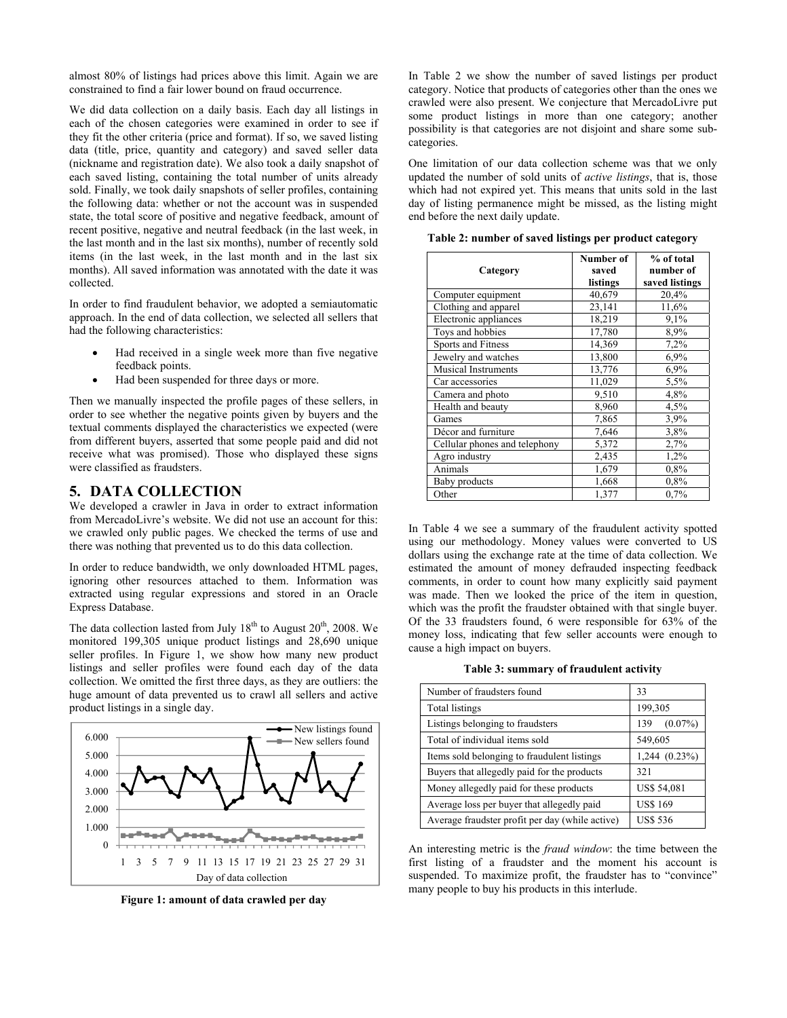almost 80% of listings had prices above this limit. Again we are constrained to find a fair lower bound on fraud occurrence.

We did data collection on a daily basis. Each day all listings in each of the chosen categories were examined in order to see if they fit the other criteria (price and format). If so, we saved listing data (title, price, quantity and category) and saved seller data (nickname and registration date). We also took a daily snapshot of each saved listing, containing the total number of units already sold. Finally, we took daily snapshots of seller profiles, containing the following data: whether or not the account was in suspended state, the total score of positive and negative feedback, amount of recent positive, negative and neutral feedback (in the last week, in the last month and in the last six months), number of recently sold items (in the last week, in the last month and in the last six months). All saved information was annotated with the date it was collected.

In order to find fraudulent behavior, we adopted a semiautomatic approach. In the end of data collection, we selected all sellers that had the following characteristics:

- Had received in a single week more than five negative feedback points.
- Had been suspended for three days or more.

Then we manually inspected the profile pages of these sellers, in order to see whether the negative points given by buyers and the textual comments displayed the characteristics we expected (were from different buyers, asserted that some people paid and did not receive what was promised). Those who displayed these signs were classified as fraudsters.

## **5. DATA COLLECTION**

We developed a crawler in Java in order to extract information from MercadoLivre's website. We did not use an account for this: we crawled only public pages. We checked the terms of use and there was nothing that prevented us to do this data collection.

In order to reduce bandwidth, we only downloaded HTML pages, ignoring other resources attached to them. Information was extracted using regular expressions and stored in an Oracle Express Database.

The data collection lasted from July  $18<sup>th</sup>$  to August  $20<sup>th</sup>$ , 2008. We monitored 199,305 unique product listings and 28,690 unique seller profiles. In Figure 1, we show how many new product listings and seller profiles were found each day of the data collection. We omitted the first three days, as they are outliers: the huge amount of data prevented us to crawl all sellers and active product listings in a single day.



**Figure 1: amount of data crawled per day** 

In Table 2 we show the number of saved listings per product category. Notice that products of categories other than the ones we crawled were also present. We conjecture that MercadoLivre put some product listings in more than one category; another possibility is that categories are not disjoint and share some subcategories.

One limitation of our data collection scheme was that we only updated the number of sold units of *active listings*, that is, those which had not expired yet. This means that units sold in the last day of listing permanence might be missed, as the listing might end before the next daily update.

**Category Number of saved listings % of total number of saved listings**  Computer equipment  $40,679$  20,4%<br>Clothing and apparel 23,141 11,6% Clothing and apparel 23,141 11,6% Electronic appliances 18,219 9,1% Toys and hobbies 17,780 8,9% Sports and Fitness 14,369 7,2% Jewelry and watches 13,800 6,9% Musical Instruments 13,776 6,9% Car accessories 11,029 5,5% Camera and photo 9,510 4,8% Health and beauty  $\begin{array}{|l|c|c|c|c|}\n\hline\n8,960 & 4,5\% \\
\hline\n7,865 & 3.9\% \\
\hline\n\end{array}$ Games 7,865 3,9% Décor and furniture 7,646 3,8% Cellular phones and telephony  $5,372$  2,7% Agro industry 2,435 1,2% Animals 1,679 0,8% Baby products 1,668 0,8%<br>Other 1,377 0,7% Other 1,377 0,7%

**Table 2: number of saved listings per product category** 

In Table 4 we see a summary of the fraudulent activity spotted using our methodology. Money values were converted to US dollars using the exchange rate at the time of data collection. We estimated the amount of money defrauded inspecting feedback comments, in order to count how many explicitly said payment was made. Then we looked the price of the item in question, which was the profit the fraudster obtained with that single buyer. Of the 33 fraudsters found, 6 were responsible for 63% of the money loss, indicating that few seller accounts were enough to cause a high impact on buyers.

**Table 3: summary of fraudulent activity** 

| Number of fraudsters found                      | 33                 |
|-------------------------------------------------|--------------------|
| Total listings                                  | 199,305            |
| Listings belonging to fraudsters                | $(0.07\%)$<br>139  |
| Total of individual items sold                  | 549,605            |
| Items sold belonging to fraudulent listings     | $1,244$ $(0.23\%)$ |
| Buyers that allegedly paid for the products     | 321                |
| Money allegedly paid for these products         | US\$ 54,081        |
| Average loss per buyer that allegedly paid      | <b>US\$169</b>     |
| Average fraudster profit per day (while active) | <b>US\$ 536</b>    |

An interesting metric is the *fraud window*: the time between the first listing of a fraudster and the moment his account is suspended. To maximize profit, the fraudster has to "convince" many people to buy his products in this interlude.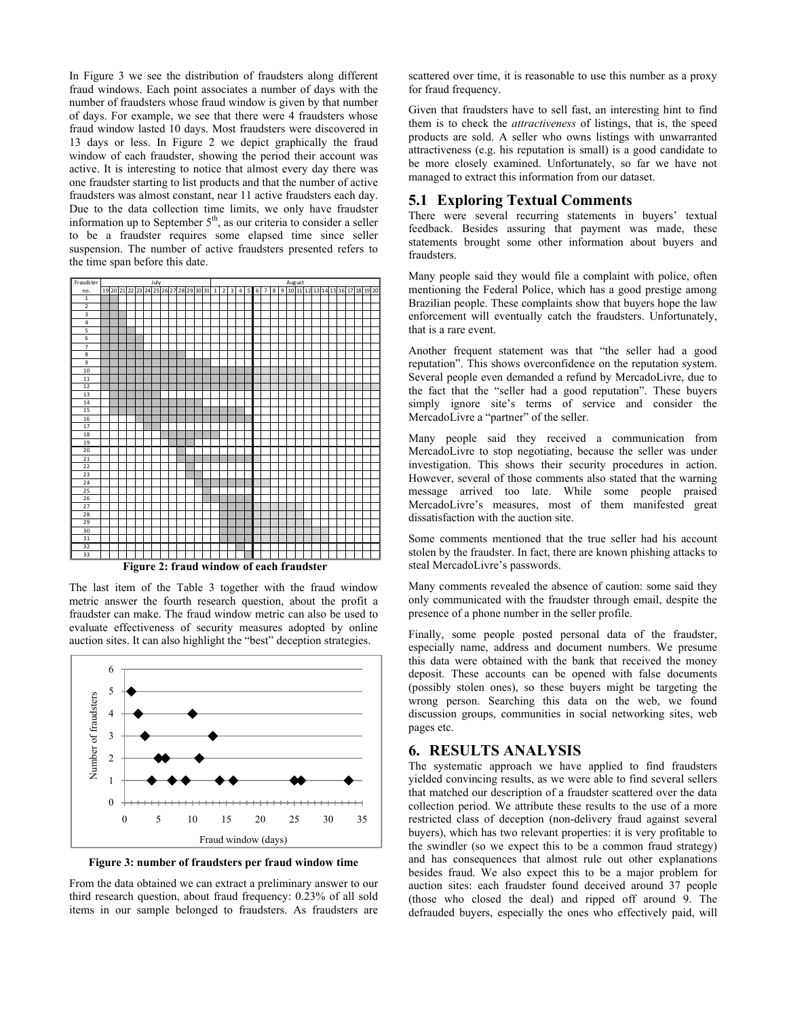In Figure 3 we see the distribution of fraudsters along different fraud windows. Each point associates a number of days with the number of fraudsters whose fraud window is given by that number of days. For example, we see that there were 4 fraudsters whose fraud window lasted 10 days. Most fraudsters were discovered in 13 days or less. In Figure 2 we depict graphically the fraud window of each fraudster, showing the period their account was active. It is interesting to notice that almost every day there was one fraudster starting to list products and that the number of active fraudsters was almost constant, near 11 active fraudsters each day. Due to the data collection time limits, we only have fraudster information up to September  $5<sup>th</sup>$ , as our criteria to consider a seller to be a fraudster requires some elapsed time since seller suspension. The number of active fraudsters presented refers to the time span before this date.



**Figure 2: fraud window of each fraudster** 

The last item of the Table 3 together with the fraud window metric answer the fourth research question, about the profit a fraudster can make. The fraud window metric can also be used to evaluate effectiveness of security measures adopted by online auction sites. It can also highlight the "best" deception strategies.



**Figure 3: number of fraudsters per fraud window time** 

From the data obtained we can extract a preliminary answer to our third research question, about fraud frequency: 0.23% of all sold items in our sample belonged to fraudsters. As fraudsters are

scattered over time, it is reasonable to use this number as a proxy for fraud frequency.

Given that fraudsters have to sell fast, an interesting hint to find them is to check the *attractiveness* of listings, that is, the speed products are sold. A seller who owns listings with unwarranted attractiveness (e.g. his reputation is small) is a good candidate to be more closely examined. Unfortunately, so far we have not managed to extract this information from our dataset.

## **5.1 Exploring Textual Comments**

There were several recurring statements in buyers' textual feedback. Besides assuring that payment was made, these statements brought some other information about buyers and fraudsters.

Many people said they would file a complaint with police, often mentioning the Federal Police, which has a good prestige among Brazilian people. These complaints show that buyers hope the law enforcement will eventually catch the fraudsters. Unfortunately, that is a rare event.

Another frequent statement was that "the seller had a good reputation". This shows overconfidence on the reputation system. Several people even demanded a refund by MercadoLivre, due to the fact that the "seller had a good reputation". These buyers simply ignore site's terms of service and consider the MercadoLivre a "partner" of the seller.

Many people said they received a communication from MercadoLivre to stop negotiating, because the seller was under investigation. This shows their security procedures in action. However, several of those comments also stated that the warning message arrived too late. While some people praised MercadoLivre's measures, most of them manifested great dissatisfaction with the auction site.

Some comments mentioned that the true seller had his account stolen by the fraudster. In fact, there are known phishing attacks to steal MercadoLivre's passwords.

Many comments revealed the absence of caution: some said they only communicated with the fraudster through email, despite the presence of a phone number in the seller profile.

Finally, some people posted personal data of the fraudster, especially name, address and document numbers. We presume this data were obtained with the bank that received the money deposit. These accounts can be opened with false documents (possibly stolen ones), so these buyers might be targeting the wrong person. Searching this data on the web, we found discussion groups, communities in social networking sites, web pages etc.

# **6. RESULTS ANALYSIS**

The systematic approach we have applied to find fraudsters yielded convincing results, as we were able to find several sellers that matched our description of a fraudster scattered over the data collection period. We attribute these results to the use of a more restricted class of deception (non-delivery fraud against several buyers), which has two relevant properties: it is very profitable to the swindler (so we expect this to be a common fraud strategy) and has consequences that almost rule out other explanations besides fraud. We also expect this to be a major problem for auction sites: each fraudster found deceived around 37 people (those who closed the deal) and ripped off around 9. The defrauded buyers, especially the ones who effectively paid, will